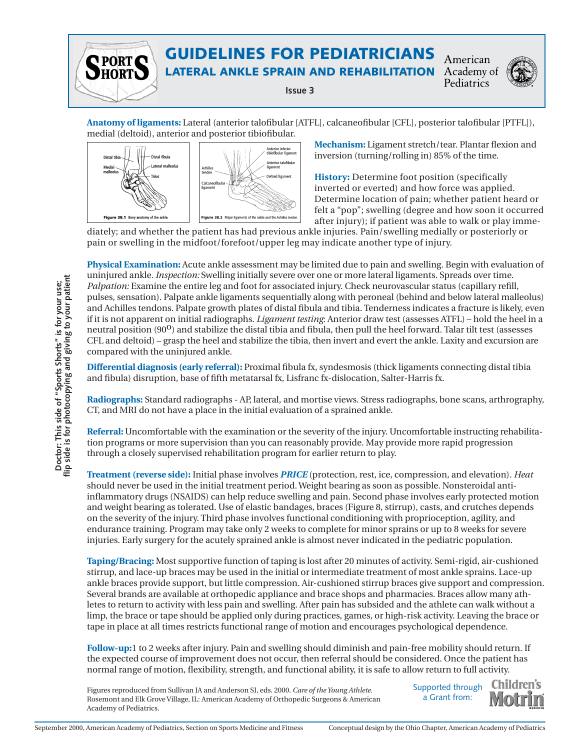

# GUIDELINES FOR PEDIATRICIANS

LATERAL ANKLE SPRAIN AND REHABILITATION Academy of

**Issue 3**

American Pediatrics



**Anatomy of ligaments:** Lateral (anterior talofibular [ATFL], calcaneofibular [CFL], posterior talofibular [PTFL]), medial (deltoid), anterior and posterior tibiofibular.



**Mechanism:** Ligament stretch/tear. Plantar flexion and inversion (turning/rolling in) 85% of the time.

**History:** Determine foot position (specifically inverted or everted) and how force was applied. Determine location of pain; whether patient heard or felt a "pop"; swelling (degree and how soon it occurred after injury); if patient was able to walk or play imme-

diately; and whether the patient has had previous ankle injuries. Pain/swelling medially or posteriorly or pain or swelling in the midfoot/forefoot/upper leg may indicate another type of injury.

**Physical Examination:** Acute ankle assessment may be limited due to pain and swelling. Begin with evaluation of uninjured ankle*. Inspection:* Swelling initially severe over one or more lateral ligaments. Spreads over time. *Palpation:* Examine the entire leg and foot for associated injury. Check neurovascular status (capillary refill, pulses, sensation). Palpate ankle ligaments sequentially along with peroneal (behind and below lateral malleolus) and Achilles tendons. Palpate growth plates of distal fibula and tibia. Tenderness indicates a fracture is likely, even if it is not apparent on initial radiographs. *Ligament testing*: Anterior draw test (assesses ATFL) – hold the heel in a neutral position (90<sup>0</sup>) and stabilize the distal tibia and fibula, then pull the heel forward. Talar tilt test (assesses CFL and deltoid) – grasp the heel and stabilize the tibia, then invert and evert the ankle. Laxity and excursion are compared with the uninjured ankle. For the conservance was the specific mass of the conservance of the minimum and the minimum and the specific material and the specific material and the specific material of the specific material and the specific material

**Differential diagnosis (early referral):** Proximal fibula fx, syndesmosis (thick ligaments connecting distal tibia and fibula) disruption, base of fifth metatarsal fx, Lisfranc fx-dislocation, Salter-Harris fx.

**Radiographs:** Standard radiographs - AP, lateral, and mortise views. Stress radiographs, bone scans, arthrography, CT, and MRI do not have a place in the initial evaluation of a sprained ankle.

**Referral:** Uncomfortable with the examination or the severity of the injury. Uncomfortable instructing rehabilitation programs or more supervision than you can reasonably provide. May provide more rapid progression through a closely supervised rehabilitation program for earlier return to play.

**Treatment (reverse side):** Initial phase involves *PRICE* (protection, rest, ice, compression, and elevation). *Heat* should never be used in the initial treatment period. Weight bearing as soon as possible. Nonsteroidal antiinflammatory drugs (NSAIDS) can help reduce swelling and pain. Second phase involves early protected motion and weight bearing as tolerated. Use of elastic bandages, braces (Figure 8, stirrup), casts, and crutches depends on the severity of the injury. Third phase involves functional conditioning with proprioception, agility, and endurance training. Program may take only 2 weeks to complete for minor sprains or up to 8 weeks for severe injuries. Early surgery for the acutely sprained ankle is almost never indicated in the pediatric population.

**Taping/Bracing:** Most supportive function of taping is lost after 20 minutes of activity. Semi-rigid, air-cushioned stirrup, and lace-up braces may be used in the initial or intermediate treatment of most ankle sprains. Lace-up ankle braces provide support, but little compression. Air-cushioned stirrup braces give support and compression. Several brands are available at orthopedic appliance and brace shops and pharmacies. Braces allow many athletes to return to activity with less pain and swelling. After pain has subsided and the athlete can walk without a limp, the brace or tape should be applied only during practices, games, or high-risk activity. Leaving the brace or tape in place at all times restricts functional range of motion and encourages psychological dependence.

**Follow-up:**1 to 2 weeks after injury. Pain and swelling should diminish and pain-free mobility should return. If the expected course of improvement does not occur, then referral should be considered. Once the patient has normal range of motion, flexibility, strength, and functional ability, it is safe to allow return to full activity.

Figures reproduced from Sullivan JA and Anderson SJ, eds. 2000. *Care of the Young Athlete*. Rosemont and Elk Grove Village, IL: American Academy of Orthopedic Surgeons & American Academy of Pediatrics.

Supported through a Grant from: